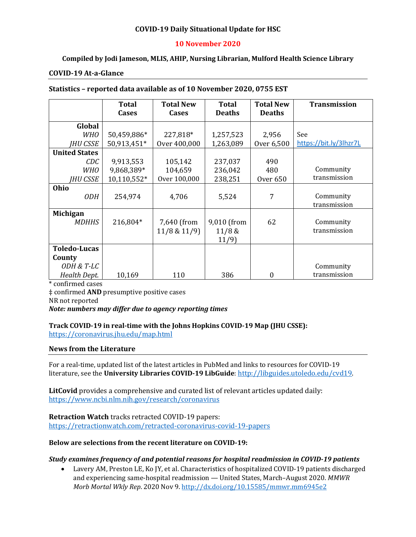### **COVID-19 Daily Situational Update for HSC**

### **10 November 2020**

### **Compiled by Jodi Jameson, MLIS, AHIP, Nursing Librarian, Mulford Health Science Library**

#### **COVID-19 At-a-Glance**

#### **Statistics – reported data available as of 10 November 2020, 0755 EST**

|                      | Total       | <b>Total New</b>  | <b>Total</b>  | <b>Total New</b> | <b>Transmission</b>    |
|----------------------|-------------|-------------------|---------------|------------------|------------------------|
|                      | Cases       | <b>Cases</b>      | <b>Deaths</b> | <b>Deaths</b>    |                        |
| Global               |             |                   |               |                  |                        |
| <b>WHO</b>           | 50,459,886* | 227,818*          | 1,257,523     | 2,956            | See                    |
| <b>IHU CSSE</b>      | 50,913,451* | Over 400,000      | 1,263,089     | Over 6,500       | https://bit.ly/3lhzr7L |
| <b>United States</b> |             |                   |               |                  |                        |
| CDC                  | 9,913,553   | 105,142           | 237,037       | 490              |                        |
| <b>WHO</b>           | 9,868,389*  | 104,659           | 236,042       | 480              | Community              |
| IHU CSSE             | 10,110,552* | Over 100,000      | 238,251       | <b>Over 650</b>  | transmission           |
| Ohio                 |             |                   |               |                  |                        |
| 0DH                  | 254,974     | 4,706             | 5,524         | 7                | Community              |
|                      |             |                   |               |                  | transmission           |
| <b>Michigan</b>      |             |                   |               |                  |                        |
| <b>MDHHS</b>         | 216,804*    | 7,640 (from       | 9,010 (from   | 62               | Community              |
|                      |             | $11/8$ & $11/9$ ) | 11/8 &        |                  | transmission           |
|                      |             |                   | 11/9          |                  |                        |
| <b>Toledo-Lucas</b>  |             |                   |               |                  |                        |
| County               |             |                   |               |                  |                        |
| ODH & T-LC           |             |                   |               |                  | Community              |
| Health Dept.         | 10,169      | 110               | 386           | 0                | transmission           |

\* confirmed cases

‡ confirmed **AND** presumptive positive cases

NR not reported

#### *Note: numbers may differ due to agency reporting times*

#### **Track COVID-19 in real-time with the Johns Hopkins COVID-19 Map (JHU CSSE):** <https://coronavirus.jhu.edu/map.html>

#### **News from the Literature**

For a real-time, updated list of the latest articles in PubMed and links to resources for COVID-19 literature, see the **University Libraries COVID-19 LibGuide**[: http://libguides.utoledo.edu/cvd19.](http://libguides.utoledo.edu/cvd19) 

**LitCovid** provides a comprehensive and curated list of relevant articles updated daily: <https://www.ncbi.nlm.nih.gov/research/coronavirus>

**Retraction Watch** tracks retracted COVID-19 papers: [https://retractionwatch.com/retracted-coronavirus-covid-19-papers](https://retractionwatch.com/retracted-coronavirus-covid-19-papers/)

#### **Below are selections from the recent literature on COVID-19:**

#### *Study examines frequency of and potential reasons for hospital readmission in COVID-19 patients*

• Lavery AM, Preston LE, Ko JY, et al. Characteristics of hospitalized COVID-19 patients discharged and experiencing same-hospital readmission — United States, March–August 2020. *MMWR Morb Mortal Wkly Rep*. 2020 Nov 9[. http://dx.doi.org/10.15585/mmwr.mm6945e2](http://dx.doi.org/10.15585/mmwr.mm6945e2)